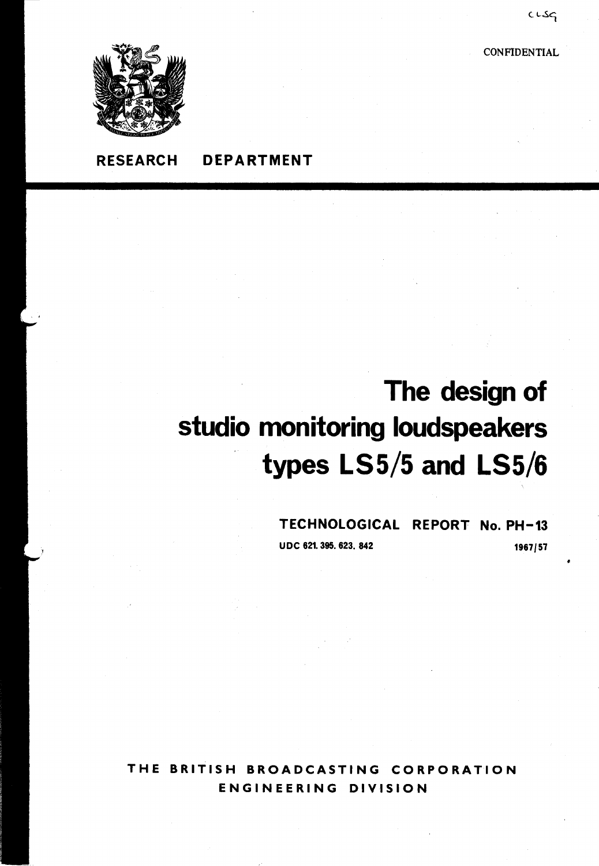CONFIDENTIAL



RESEARCH DEPARTMENT

# The design of studio monitoring loudspeakers types LS5/5 and LS5/6

TECHNOLOGICAL REPORT No. PH-13 UDC 621. 395. 623. 842 1967/57

THE BRITISH BROADCASTING CORPORATION ENGINEERING DIVISION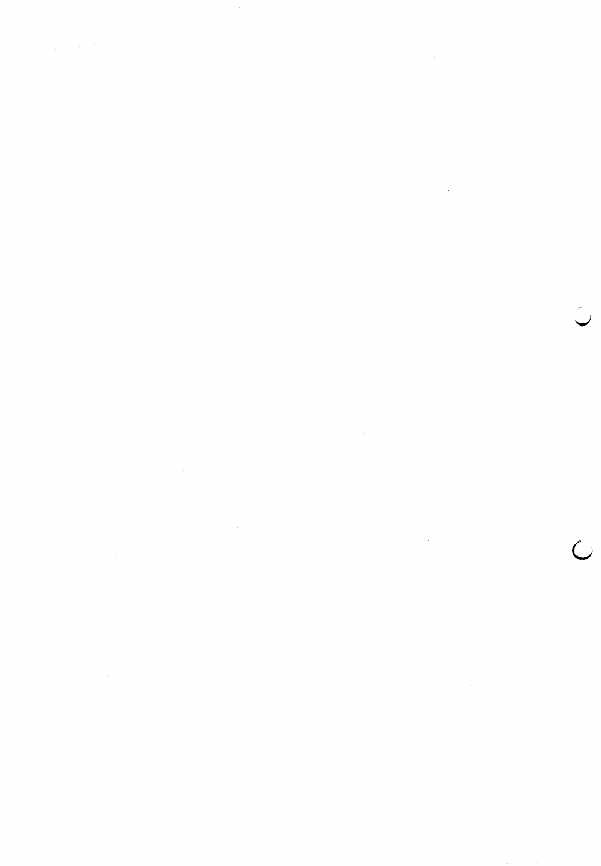$\mathcal{L}^{\text{max}}_{\text{max}}$  and  $\mathcal{L}^{\text{max}}_{\text{max}}$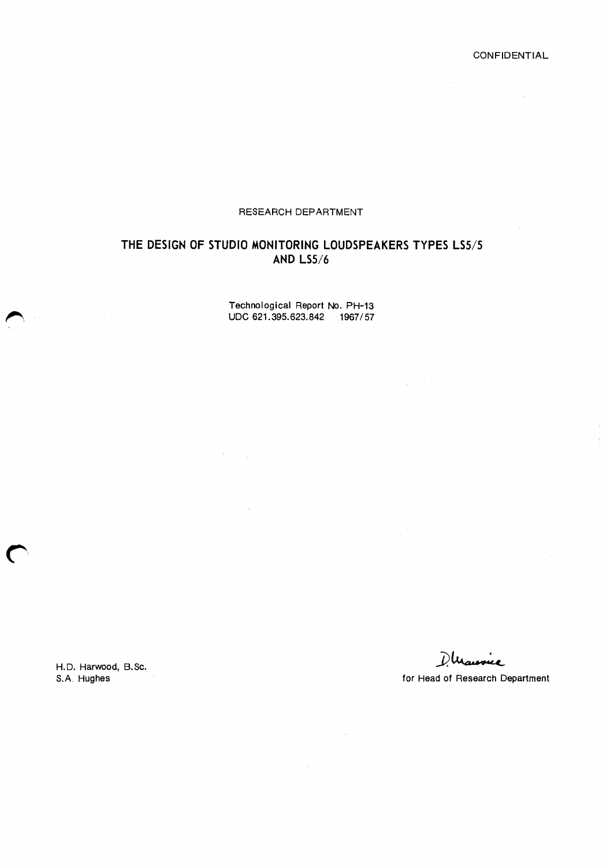# RESEARCH DEPARTMENT

# **THE DESIGN OF STUDIO MONITORING LOUDSPEAKERS TYPES** *LS5/5*  **AND** *LS5/6*

Technological Report No. PH-13 UDC 621.395.623.842 1967/57

H.D. Harwood, B.Sc. S.A. Hughes

 $\blacktriangle$ 

Denavice

for Head of Research Department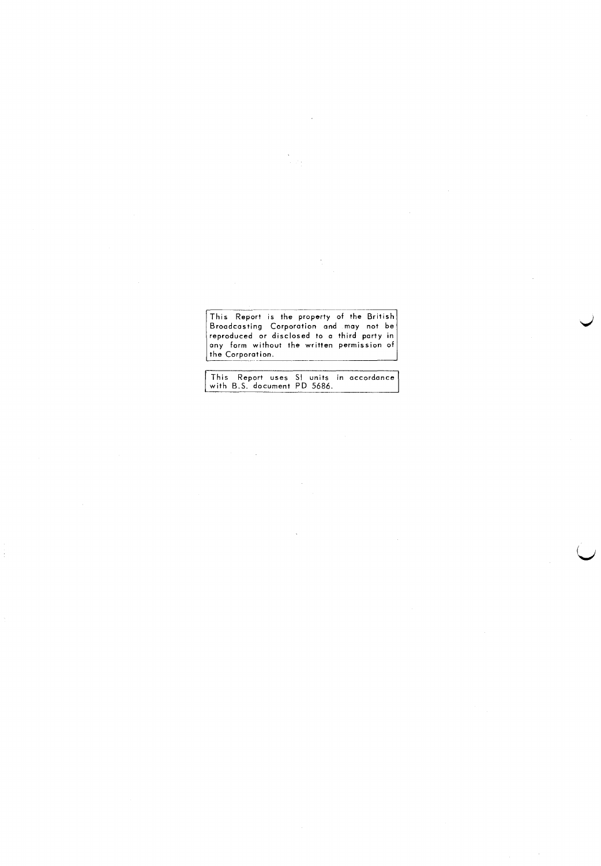This Report is the property of the British Broadcasting Corporation and may not be reproduced or disclosed to a third party in any form without the written permission of<br>the Corporation.

This Report uses S1 units in accordance<br>with B.S. document PD 5686.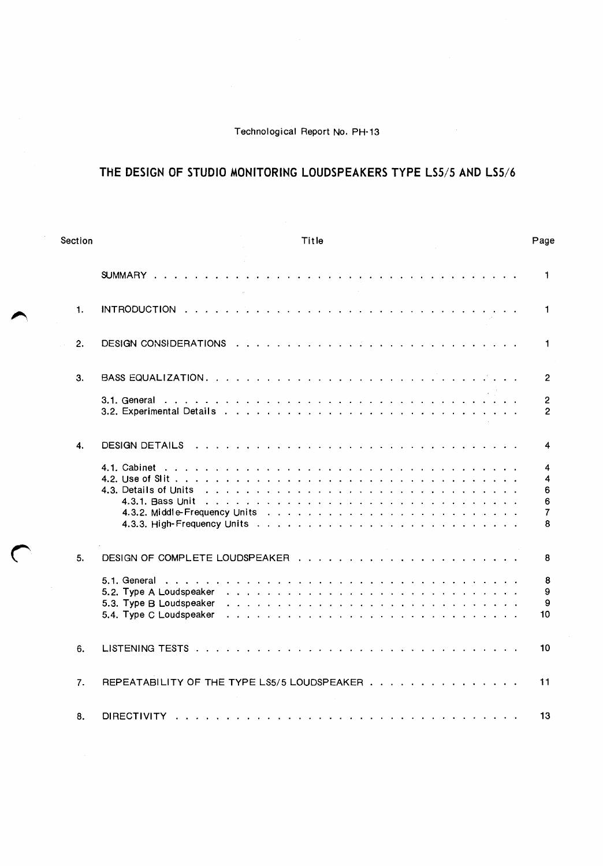Technological Report NO. PH·13

 $\sim 10^7$ 

# **THE DESIGN OF STUDIO MONITORING LOUDSPEAKERS TYPE** *LSSIS* **AND** *LSS/6*

| Section | Title                                                                                                          | Page                             |
|---------|----------------------------------------------------------------------------------------------------------------|----------------------------------|
|         | SUMMARY                                                                                                        | $\mathbf{1}$                     |
| 1.      |                                                                                                                | 1                                |
| 2.      |                                                                                                                | 1                                |
| З.      |                                                                                                                | 2                                |
|         |                                                                                                                | $\overline{2}$<br>$\overline{2}$ |
| 4.      |                                                                                                                | 4                                |
|         | 4.3. Details of Units responses responses responses responses responses responses responses responses response | 4<br>4<br>6<br>6<br>7<br>8       |
| 5.      |                                                                                                                | 8                                |
|         | 5.2. Type A Loudspeaker<br>5.3. Type B Loudspeaker<br>5.4. Type C Loudspeaker                                  | 8<br>9<br>9<br>10                |
| 6.      | LISTENING TESTS                                                                                                | 10                               |
| 7.      | REPEATABILITY OF THE TYPE LS5/5 LOUDSPEAKER                                                                    | 11                               |
| 8.      |                                                                                                                | 13                               |

 $\mathsf{C}$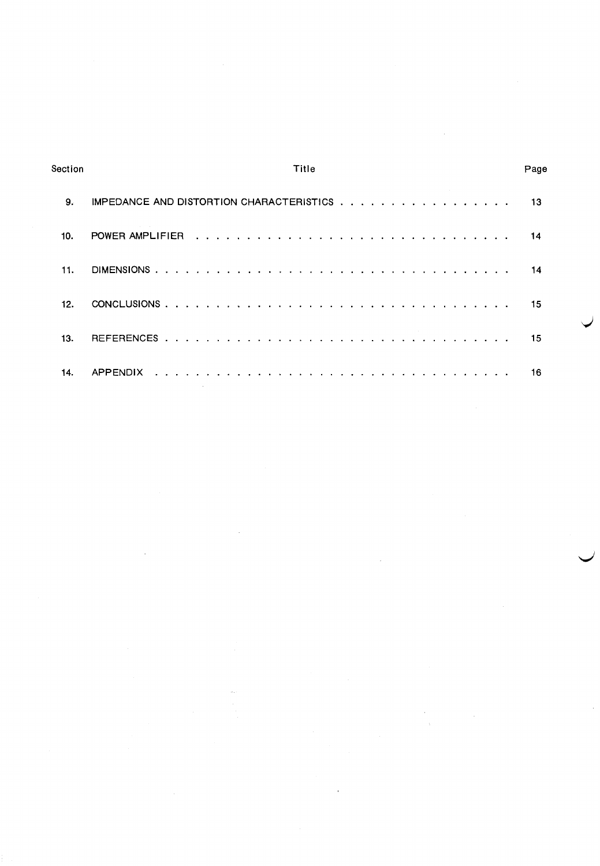| Section | Title           | Page |
|---------|-----------------|------|
| 9.      |                 | 13   |
| 10.     | and a strategic | 14   |
| 11.     |                 | 14   |
| 12.     |                 | 15   |
| 13.     |                 | 15   |
| 14.     | <b>APPENDIX</b> | 16   |

 $\label{eq:2.1} \mathcal{L}(\mathcal{L}^{\text{max}}_{\mathcal{L}}(\mathcal{L}^{\text{max}}_{\mathcal{L}})) \leq \mathcal{L}(\mathcal{L}^{\text{max}}_{\mathcal{L}}(\mathcal{L}^{\text{max}}_{\mathcal{L}}))$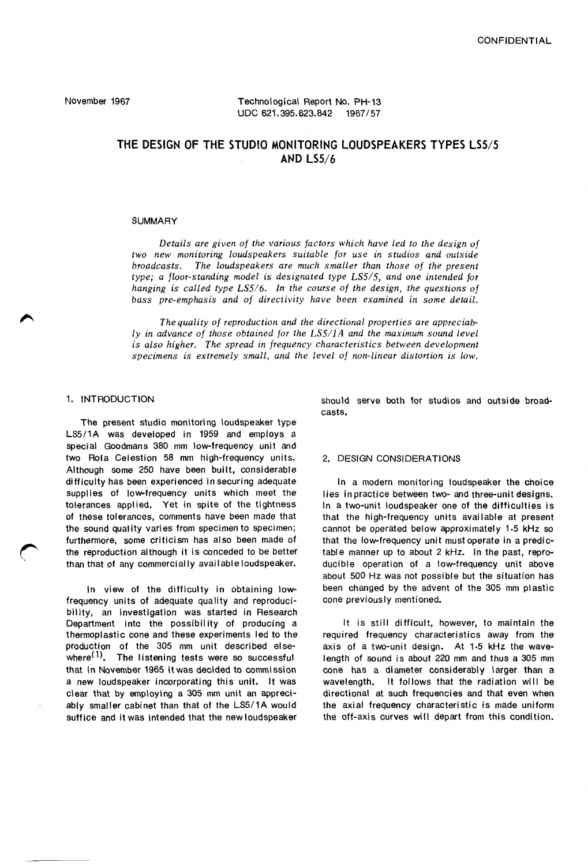# November 1967 Technological Report No. PH-13 UDC 621.395.623.842 1967/57

# **THE DESIGN OF THE STUDIO MONITORING LOUDSPEAKERS TYPES** LS5/5 **AND** LS5/6

#### SUMMARY

*Details are given of the various factors which have led to the design of two new monitoring loudspeakers suitable for use in studios and outside broadcasts. The loudspeakers are much smaller than those of the present type; a floor-standing model is designated type LSS/S, and one intended for hanging is called type LSS/6. In the course* of *the design, the questions* of *bass pre-emphasis and of directivity have been examined in some detail.* 

*The quality* of *reproduction and the directional properties are appreciably in advance of those obtained for the LSS/1A and the maximum sound level*  is *also higher. The spread in frequency characteristics between development specimens is extremely small, and the level* of *non-linear distortion is low.* 

## 1. INTRODUCTION

The present studio monitoring loudspeaker type LS5/1A was developed in 1959 and employs a special Goodmans 380 mm low-frequency unit and two Rola Celestion 58 mm high-frequency units. Although Some 250 have been built, considerable difficulty has been experienced in securing adequate supplies of low-frequency units which meet the tolerances applied. Yet in spite of the tightness of these tolerances, comments have been made that the sound quality varies from specimen to specimen; furthermore, some criticism has also been made of the reproduction although it is conceded to be better than that of any commercially available loudspeaker.

In view of the difficulty in obtaining lowfrequency units of adequate quality and reproducibility, an investigation was started in Research Department into the possibil ity of producing a thermoplastic cone and these experiments led to the production of the 305 mm unit described elsewhere<sup>(1)</sup>. The listening tests were so successful that in November 1965 itwas decided to commission a new loudspeaker incorporating this unit. It was clear that by employing a 305 mm unit an appreciably smaller cabinet than that of the *LS5/1A* would suffice and it was intended that the new loudspeaker

should serve both for studios and outside broadcasts.

#### 2. DESIGN CONSIDERATIONS

In a modern monitoring loudspeaker the choice lies in practice between two- and three-unit designs. In a two-unit loudspeaker one of the difficulties is that the high-frequency units available at present cannot be operated below approximately 1.5 kHz so that the low-frequency unit must operate in a predictable manner up to about 2 kHz. In the past, reproducible operation of a low-frequency unit above about 500 Hz was not possible but the situation has been changed by the advent of the 305 mm plastic cone previously mentioned.

It is still difficult, however, to maintain the required frequency characteristics away from the axis of a two-unit design. At 1.5 kHz the wavelength of sound is about 220 mm and thus a 305 mm cone has a diameter considerably larger than a wavelength. It follows that the radiation will be directional at such frequencies and that even when the axial frequency characteristic is made uniform the off-axis curves will depart from this condition.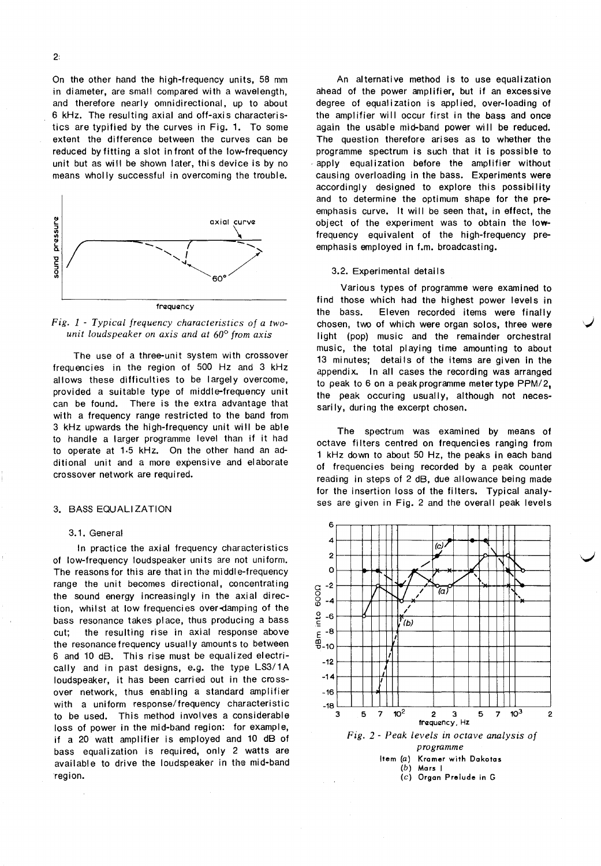On the other hand the high-frequency units, 58 mm in diameter, are small compared with a wavelength, and therefore nearly omnidirectional, up to about 6 kHz. The resulting axial and off-axis characteristics are typified by the curves in Fig. 1. To some extent the difference between the curves can be reduced by fitting a slot in front of the low-frequency unit but as will be shown later, this device is by no means wholly successful in overcoming the trouble.



*Fig. 1* - *Typical frequency characteristics of a twounit loudspeaker on axis and at 60° from axis* 

The use of a three-unit system with crossover frequencies in the region of 500 Hz and 3 kHz allows these difficulties to be largely overcome, provided a suitable type of middle-frequency unit can be found. There is the extra advantage that with a frequency range restricted to the band from 3 kHz upwards the high-frequency unit will be able to handle a larger programme level than if it had to operate at 1·5 kHz. On the other hand an additional unit and a more expensive and elaborate crossover network are required.

## 3. BASS EQUALIZATION

# 3.1. General

In practice the axial frequency characteristics of low-frequency loudspeaker units are not uniform. The reasons for this are that in the middle-frequency range the unit becomes directional, concentrating the sound energy increasingly in the axial direction, whilst at low frequencies over-damping of the bass resonance takes place, thus producing a bass cut; the resulting rise in axial response above the resonance frequency usually amounts to between 6 and 10 dB. This rise must be equalized electrically and in past designs, e.g. the type LS3/1A loudspeaker, it has been carried out in the crossover network, thus enabling a standard amplifier with a uniform response/frequency characteristic to be used. This method involves a considerable loss of power in the mid-band region: for example, if a 20 watt amplifier is employed and 10 dB of bass equalization is required, only 2 watts are available to drive the loudspeaker in the mid-band ·region.

An alternative method is to use equalization ahead of the power amplifier, but if an excessive degree of equalization is applied, over-loading of the amplifier will occur first in the bass and once again the usable mid-band power will be reduced. The question therefore arises as to whether the programme spectrum is such that it is possible to apply equalization before the amplifier without causing overloading in the bass. Experiments were accordingly designed to explore this possibility and to determine the optimum shape for the preemphasis curve. It will be seen that, in effect, the object of the experiment was to obtain the lowfrequency equivalent of the high-frequency preemphasis employed in f.m. broadcasting.

#### 3.2. Experimental detai Is

Various types of programme were examined to find those which had the highest power levels in the bass. Eleven recorded items were finally chosen, two of which were organ solos, three were light (pop) music and the remainder orchestral music, the total playing time amounting to about 13 minutes; details of the items are given in the appendix. In all cases the recording was arranged to peak to 6 on a peak programme meter type PPM/2, the peak occuring usually, although not necessarily, during the excerpt chosen.

The spectrum was examined by means of octave filters centred on frequencies ranging from 1 kHz down to about 50 Hz, the peaks in each band of frequencies being recorded by a peak counter reading in steps of 2 dB, due allowance being made for the insertion loss of the filters. Typical analyses are given in Fig. 2 and the overall peak levels

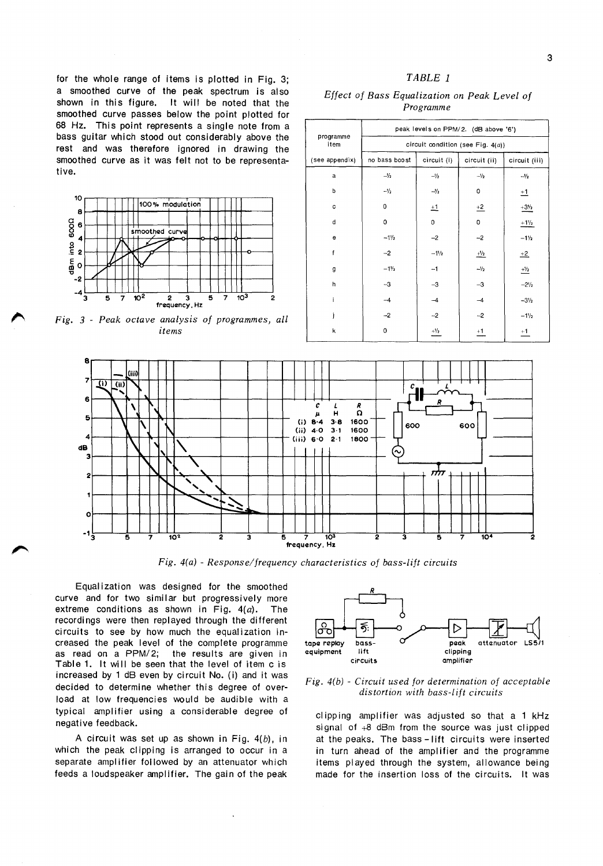for the whole range of items is plotted in Fig. 3: a smoothed curve of the peak spectrum is also shown in this figure. It will be noted that the smoothed curve passes below the point plotted for 68 Hz. This point represents a single note from a bass guitar which stood out considerably above the rest and was therefore ignored in drawing the smoothed curve as it was felt not to be representative.



Fig. 3 - Peak octave analysis of programmes, all items

# TABLE 1

| Effect of Bass Equalization on Peak Level of |           |  |  |
|----------------------------------------------|-----------|--|--|
|                                              | Programme |  |  |

|                   | peak levels on PPM/2. (dB above '6') |                 |                 |                 |  |
|-------------------|--------------------------------------|-----------------|-----------------|-----------------|--|
| programme<br>item | circuit condition (see Fig. $4(a)$ ) |                 |                 |                 |  |
| (see appendix)    | no bass boost                        | circuit (i)     | circuit (ii)    | circuit (iii)   |  |
| a                 | $-\frac{1}{2}$                       | $-1/2$          | $\mathcal{A}_2$ | $-\frac{1}{2}$  |  |
| b                 | $-1/2$                               | $-\frac{1}{2}$  | 0               | $\pm$ 1         |  |
| c                 | 0                                    | ±1              | $+2$            | $+3\frac{1}{2}$ |  |
| d                 | 0                                    | 0               | 0               | $+1\frac{1}{2}$ |  |
| е                 | $-1\frac{1}{2}$                      | $-2$            | $-2$            | $-1\frac{1}{2}$ |  |
| f                 | $-2$                                 | $-1\frac{1}{2}$ | $^{+1/2}$       | $\pm 2$         |  |
| g                 | $-1\frac{1}{2}$                      | $-1$            | $-1/2$          | $^{+1/2}$       |  |
| h                 | $-3$                                 | $-3$            | $-3$            | $-2\frac{1}{2}$ |  |
|                   | $-4$                                 | $-4$            | $-4$            | $-3\frac{1}{2}$ |  |
|                   | $-2$                                 | $-2$            | $-2$            | $-1\frac{1}{2}$ |  |
| K                 | 0                                    | $+1/2$          | $+1$            | $+1$            |  |



Fig. 4(a) - Response/frequency characteristics of bass-lift circuits

Equalization was designed for the smoothed curve and for two similar but progressively more extreme conditions as shown in Fig.  $4(a)$ . The recordings were then replayed through the different circuits to see by how much the equalization increased the peak level of the complete programme as read on a PPM/2; the results are given in Table 1. It will be seen that the level of item c is increased by 1 dB even by circuit No. (i) and it was decided to determine whether this degree of overload at low frequencies would be audible with a typical amplifier using a considerable degree of negative feedback.

A circuit was set up as shown in Fig.  $4(b)$ , in which the peak clipping is arranged to occur in a separate amplifier followed by an attenuator which feeds a loudspeaker amplifier. The gain of the peak



Fig. 4(b) - Circuit used for determination of acceptable distortion with bass-lift circuits

clipping amplifier was adjusted so that a 1 kHz signal of +8 dBm from the source was just clipped at the peaks. The bass-lift circuits were inserted in turn ahead of the amplifier and the programme items played through the system, allowance being made for the insertion loss of the circuits. It was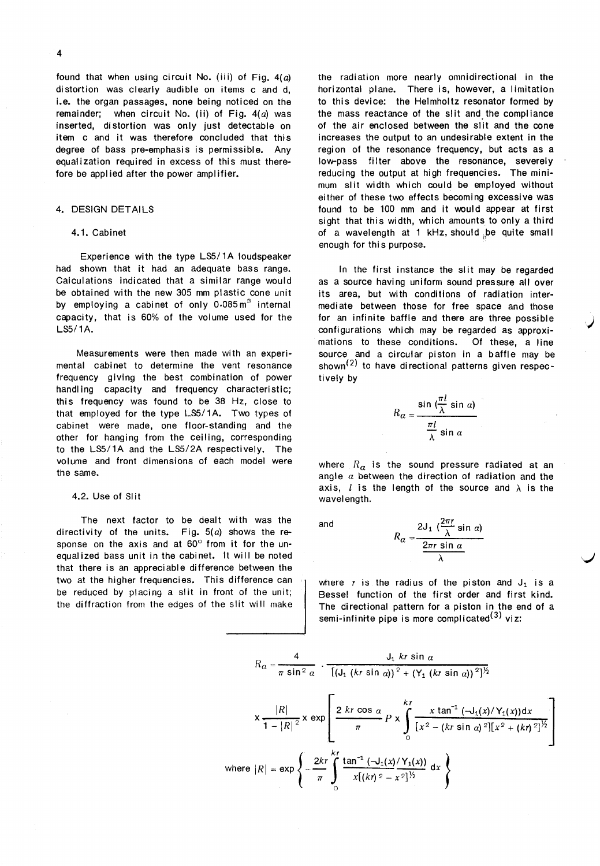found that when using circuit No. (iii) of Fig.  $4(a)$ distortion was clearly audible on items c and d, i.e. the organ passages, none being noticed on the remainder; when circuit No. (ii) of Fig.  $4(a)$  was inserted, distortion was only just detectable on item c and it was therefore concluded that this degree of bass pre-emphasis is permissible. Any equalization required in excess of this must therefore be applied after the power amplifier.

## 4. DESIGN DETAILS

#### 4.1. Cabinet

Experience with the type LS5/1A loudspeaker had shown that it had an adequate bass range. Calculations indicated that a similar range would be obtained with the new 305 mm plastic cone unit by employing a cabinet of only  $0.085 \text{ m}^3$  internal capacity, that is 60% of the volume used for the LS5/1A.

Measurements were then made with an experimental cabinet to determine the vent resonance frequency giving the best combination of power handling capacity and frequency characteristic; this frequency was found to be 38 Hz, close to that employed for the type LS5/1A. Two types of cabinet were made, one floor-standing and the other for hanging from the ceiling, corresponding to the LS5/1A and the LS5/2A respectively. The volume and front dimensions of each model were the same.

#### 4.2. Use of Slit

The next factor to be dealt with was the directivity of the units. Fig.  $5(a)$  shows the response on the axis and at 60° from it for the unequalized bass unit in the cabinet. It will be noted that there is an appreciable difference between the two at the higher frequencies. This difference can be reduced by placing a slit in front of the unit; the diffraction from the edges of the slit will make the radiation more nearly omnidirectional in the horizontal plane. There is, however, a limitation to this device: the Helmholtz resonator formed by the mass reactance of the slit and. the compliance of the air enclosed between the slit and the cone increases the output to an undesirable extent in the region of the resonance frequency, but acts as a low-pass filter above the resonance, severely reducing the output at high frequencies. The minimum slit width which could be employed without either of these two effects becoming excessive was found to be 100 mm and it would appear at first sight that this width, which amounts to only a third of a wavelength at 1 kHz, should be quite small enough for this purpose.

In the first instance the slit may be regarded as a source having uniform sound pressure all over its area, but with conditions of radiation intermediate between those for free space and those for an infinite baffle and there are three possible configurations which may be regarded as approximations to these conditions. Of these, a line source and a circular piston in a baffle may be shown<sup>(2)</sup> to have directional patterns given respectively by

)

$$
R_{\alpha} = \frac{\sin(\frac{\pi l}{\lambda}\sin\alpha)}{\frac{\pi l}{\lambda}\sin\alpha}
$$

where  $R_{q}$  is the sound pressure radiated at an angle *a* between the direction of radiation and the axis, *l* is the length of the source and  $\lambda$  is the wavel ength.

and 
$$
R_{\alpha} = \frac{2J_1 \left(\frac{2\pi r}{\lambda} \sin \alpha\right)}{\frac{2\pi r \sin \alpha}{\lambda}}
$$

where  $r$  is the radius of the piston and  $J_1$  is a Bessel function of the first order and first kind. The directional pattern for a piston in the end of a semi-infinite pipe is more complicated<sup>(3)</sup> viz:

$$
R_{\alpha} = \frac{4}{\pi \sin^{2} \alpha} \cdot \frac{J_{1} \, kr \sin \alpha}{\left[ (J_{1} \, (kr \sin \alpha))^{2} + (Y_{1} \, (kr \sin \alpha))^{2} \right]^{1/2}}
$$
\n
$$
\times \frac{|R|}{1 - |R|^{2}} \times \exp \left[ \frac{2 \, kr \cos \alpha}{\pi} P \times \int_{0}^{kr} \frac{x \tan^{-1} (-J_{1}(x)/Y_{1}(x)) dx}{\left[ x^{2} - (kr \sin \alpha)^{2} \right] \left[ x^{2} + (kr)^{2} \right]^{1/2}} \right]
$$
\nwhere  $|R| = \exp \left\{ -\frac{2kr}{\pi} \int_{0}^{kr} \frac{\tan^{-1} (-J_{1}(x)/Y_{1}(x))}{x \left[ (kr)^{2} - x^{2} \right]^{1/2}} dx \right\}$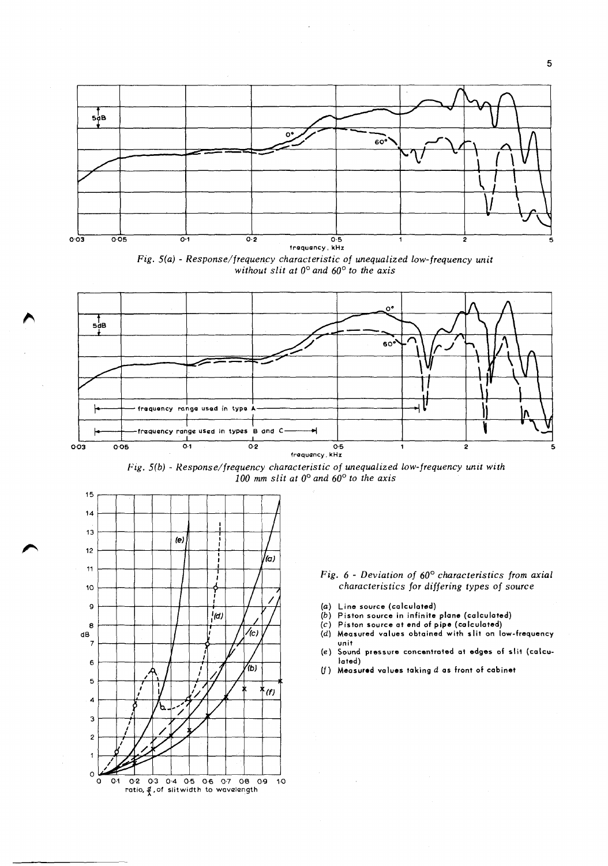









*Fig,* 6 - *Deviation of 60° characteristics from axial characteristics for differing types* of *source* 

5

- (a) Line source (calculated)
- (b) Piston source in infinite plane (calculated)
- (c) Piston source at end of pipe (calculated)
- (d) Measured values obtained with slit on low-frequency unit
- (e) Sound pressure concentrated at edges of slit (calculated)
- (f) Measured values taking *d* as frant of cabinet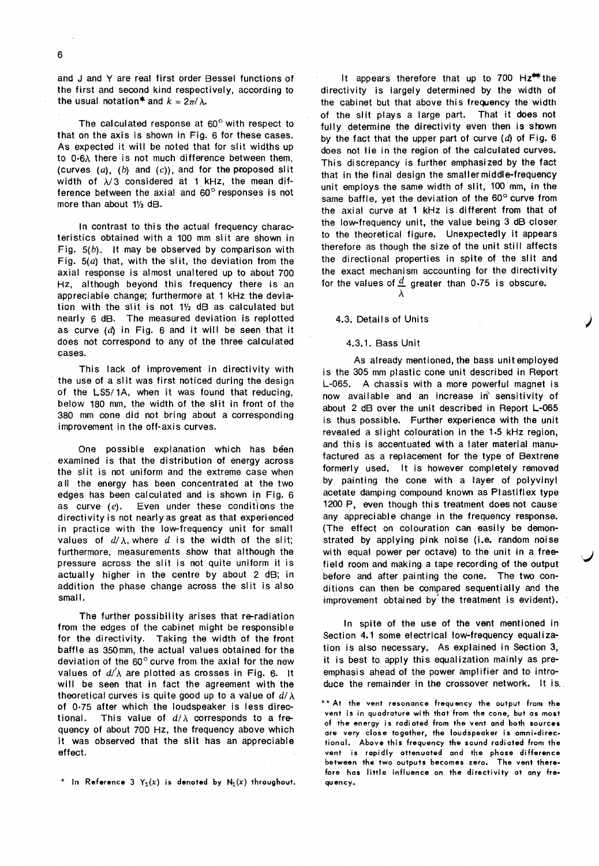and J and Y are real first order Bessel functions of the first and second kind respectively, according to the usual notation\* and  $k = 2\pi/\lambda$ .

The calculated response at  $60^\circ$  with respect to that on the axis is shown in Fig. 6 for these cases. As expected it will be noted that for slit widths up to  $0.6\lambda$  there is not much difference between them, (curves  $(a)$ ,  $(b)$  and  $(c)$ ), and for the proposed slit width of  $\sqrt{3}$  considered at 1 kHz, the mean difference between the axial and  $60^\circ$  responses is not more than about 1% dB.

In contrast to this the actual frequency characteristics obtained with a 100 mm slit are shown in Fig.  $5(b)$ . It may be observed by comparison with Fig.  $5(a)$  that, with the slit, the deviation from the axial response is almost unaltered up to about 700 Hz, although beyond this frequency there is an appreciable change; furthermore at 1 kHz the deviation with the slit is not  $1\frac{1}{2}$  dB as calculated but nearly 6 dB. The measured deviation is replotted as curve  $(d)$  in Fig. 6 and it will be seen that it does not correspond to any of the three calcul ated cases.

This lack of improvement in directivity with the use of a slit was first noticed during the design of the LS5/1A, when it was found that reducing, below 180 mm, the width of the slit in front of the 380 mm cone did not bring about a corresponding improvement in the off-axis curves.

One possible explanation which has been examined is that the distribution of energy across the slit is not uniform and the extreme case when a 11 the energy has been concentrated at the two edges has been calculated and is shown in Fig. 6 as curve  $(e)$ . Even under these conditions the directivity is not nearly as great as that experienced in practice with the low-frequency unit for small values of  $d/\lambda$ , where *d* is the width of the slit; furthermore, measurements show that although the pressure across the slit is not quite uniform it is actually higher in the centre by about 2 dB; in addition the phase change across the slit is also small.

The further possibility arises that re-radiation from the edges of the cabinet might be responsible for the directivity. Taking the width of the front baffle as 350 mm, the actual values obtained for the deviation of the  $60^{\circ}$  curve from the axial for the new values of  $d/\lambda$  are plotted as crosses in Fig. 6. It will be seen that in fact the agreement with the theoretical curves is quite good up to a value of  $d/\lambda$ of 0·75 after which the loudspeaker is less directional. This value of  $d/\lambda$  corresponds to a frequency of about 700 Hz, the frequency above which it was observed that the slit has an appreciable effect.

\* In Reference 3  $Y_1(x)$  is denoted by  $N_1(x)$  throughout.

It appears therefore that up to 700 Hz<sup>\*\*\*</sup> the directivity is largely determined by the width of the cabinet but that above this frequency the width of the slit plays a large part. That it does not fully determine the directivity even then is shown by the fact that the upper part of curve  $(d)$  of Fig. 6 does not lie in the region of the calculated curves. This discrepancy is further emphasized by the fact that in the final design the smaller middle-frequency unit employs the same width of slit, 100 mm, in the same baffle, yet the deviation of the  $60^{\circ}$  curve from the axial curve at 1 kHz is different from that of the low-frequency unit, the value being 3 dB closer to the theoretical figure. Unexpectedly it appears therefore as though the size of the unit still affects the directional properties in spite of the slit and the exact mechanism accounting for the directivity for the values of  $\frac{d}{ }$  greater than 0.75 is obscure.  $\lambda$ 

# 4.3. Details of Units

#### 4.3.1. Bass Unit

As already mentioned, the bass unit employed is the 305 mm plastic cone unit described in Report  $L-065$ . A chassis with a more powerful magnet is now available and an increase in' sensitivity of about 2 dB over the unit described in Report L-065 is thus possible. Further experience with the unit revealed a slight colouration in the 1.5 kHz region, and this is accentuated with a later material manufactured as a replacement for the type of Bextrene formerly used. It is however completely removed by painting the cone with a layer of polyvinyl acetate damping compound known as Plastiflex type 1200 P, even though this treatment does not cause any appreciable change in the frequency response. (The effect on colouration can easily be demonstrated by applying pink noise (i.e. random noise with equal power per octave) to the unit in a freefield room and making a tape recording of the output before and after painting the cone. The two conditions can then be compared sequentially and the improvement obtai ned by'the treatment is evident).

In spite of the use of the vent mentioned in Section 4.1 some electrical low-frequency equalization is also necessary. As explained in Section 3, it is best to apply this equalization mainly as preemphasis ahead of the power amplifier and to introduce the remainder in the crossover network. It is.

\* \* At the vent resonance frequ ency the output from the vent is in quadrature with that from the cone, but as most of the energy is radi ated from the vent and both sources are very close together, the loudspeaker is omni-directional. Above this frequency the sound radiated from the vent is rapidly attenuated and the phase difference between the two outputs becomes zero. The vent there. fore has little influence on the directivity at any fre. quency.

6

)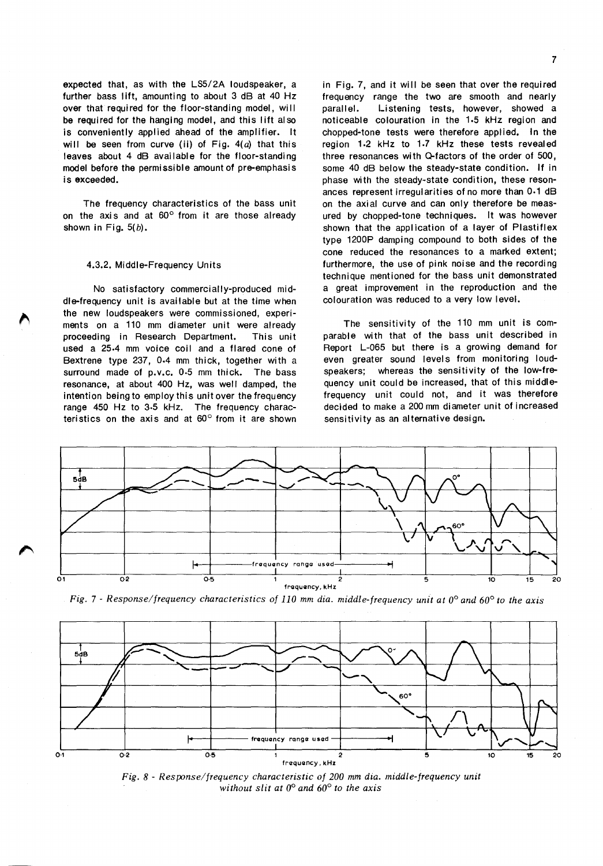expected that, as with the LS5/2A loudspeaker, a further bass lift, amounting to about  $3$  dB at  $40$  Hz over that required for the floor-standing model, will be required for the hanging model, and this lift also is conveniently applied ahead of the amplifier. It will be seen from curve (ii) of Fig.  $4(a)$  that this leaves about 4 dB available for the floor-standing model before the permissible amount of pre-emphasis is exceeded.

The frequency characteristics of the bass unit on the axis and at  $60^\circ$  from it are those already shown in Fig.  $5(b)$ .

#### 4.3.2. Middle-Frequency Units

No satisfactory commercially-produced middle-frequency unit is available but at the time when the new loudspeakers were commisSioned, experiments on a 110 mm diameter unit were already proceeding in Research Department. This unit used a 25.4 mm voice coil and a flared cone of Bextrene type 237, 0.4 mm thick, together with a surround made of p.v.c. 0.5 mm thick. The bass resonance, at about 400 Hz, was well damped, the intention being to employ this unit over the frequency range 450 Hz to 3·5 kHz. The frequency characteristics on the axis and at 60° from it are shown in Fig. 7, and it will be seen that over the required frequency range the two are smooth and nearly parallel. Listening tests, however, showed a noticeable colouration in the 1.5 kHz region and chopped-tone tests were therefore applied. In the region 1.2 kHz to 1.7 kHz these tests revealed three resonances with Q-factors of the order of 500, some 40 dB below the steady-state condition. If in phase with the steady-state condition, these resonances represent irregularities of no more than  $0.1$  dB on the axial curve and can only therefore be measured by chopped-tone techniques. It was however shown that the application of a layer of Plastiflex type 1200P damping compound to both sides of the cone reduced the resonances to a marked extent; furthermore, the use of pink noise and the recording technique mentioned for the bass unit demonstrated a great improvement in the reproduction and the colouration was reduced to a very low level.

The sensitivity of the 110 mm unit is comparable with that of the bass unit described in Report L-065 but there is a growing demand for even greater sound levels from monitoring loudspeakers; whereas the sensitivity of the Iow-frequency unit could be increased, that of this middlefrequency unit could not, and it was therefore decided to make a 200 mm diameter unit of increased sensitivity as an alternative design.



*Fig.* 7 - *Response/frequency characteristics of 110 mm dia. middle-frequency unit at* 0° *and* 60° *to the axis* 



*Fig.* 8 - *Response/frequency characteristic of 200 mm dia. middle-frequency unit without slit at* 0° *and* 60° *to the axis*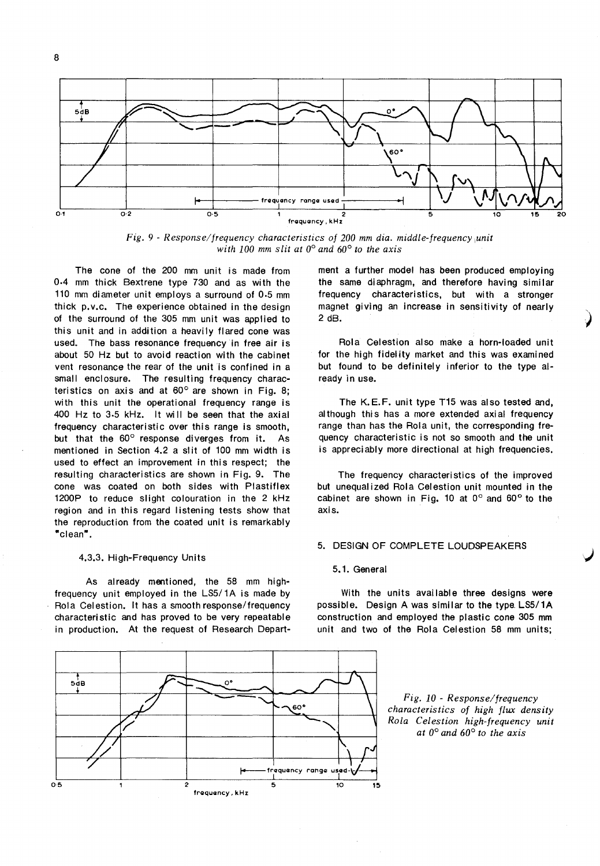

*Fig.* 9 - *Response/frequency characteristics of 200 mm dia. middle-frequency unit* with 100 mm slit at  $0^{\circ}$  and  $60^{\circ}$  to the axis

The cone of the 200 mm unit is made from 0.4 mm thick Bextrene type 730 and as with the 110 mm diameter unit employs a surround of 0.5 mm thick p.v.c. The experience obtained in the design of the surround of the 305 mm unit was applied to this unit and in addition a heavily flared cone was used. The bass resonance frequency in free air is about 50 Hz but to avoid reaction with the cabinet vent resonance the rear of the unit is confined in a small enclosure. The resulting frequency characteristics on axis and at  $60^{\circ}$  are shown in Fig. 8; with this unit the operational frequency range is 400 Hz to 3.5 kHz. It will be seen that the axial frequency characteristic over this range is smooth, but that the  $60^\circ$  response diverges from it. As mentioned in Section 4.2 a slit of 100 mm width is used to effect an improvement in this respect; the resulting characteristics are shown in Fig. 9. The cone was coated on both sides with Plastiflex 1200P to reduce slight colouration in the 2 kHz region and in this regard listening tests show that the reproduction from the coated unit is remarkably "clean".

# 4.3.3. High-Frequency Units

As already mentioned, the 58 mm highfrequency unit employed in the LS5/1A is made by Rola Celestion. It has a smooth response/frequency characteristic and has proved to be very repeatable in production. At the request of Research Depart-



Rola Celestion also make a horn-loaded unit for the high fidelity market and this was examined but found to be definitely inferior to the type already in use.

The K.E.F. unit type T15 was also tested and, al though this has a more extended axial frequency range than has the Rola unit, the corresponding frequency characteristic is not so smooth and the unit is appreciably more directional at high frequencies.

The frequency characteristics of the improved but unequal ized Rola Celestion unit mounted in the cabinet are shown in Fig. 10 at  $0^{\circ}$  and  $60^{\circ}$  to the axis.

#### 5. DESIGN OF COMPLETE LOUDSPEAKERS

## 5.1. General

With the units available three designs were possible. Design A was similar to the type LS5/1A construction and employed the plastic cone 305 mm unit and two of the Rola Celestion 58 mm units;



*Fig.* 10 - *Response/frequency characteristics of high flux density Rola Celestion high-frequency unit at* 00 *and* 60° *to the axis*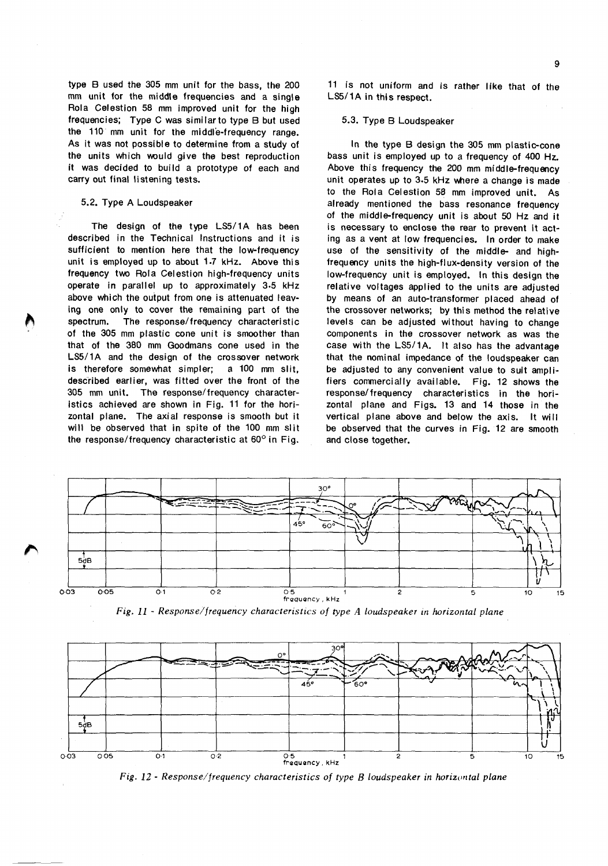type B used the 305 mm unit for the bass, the 200 mm unit for the middle frequencies and a single Rola Celestion 58 mm improved unit for the high frequencies; Type C was similarto type B but used the 110 mm unit for the middle-frequency range. As it was not possible to determine from a study of the units which would give the best reproduction it was decided to build a prototype of each and carry out final listening tests.

#### 5.2. Type A Loudspeaker

The design of the type LS5/1A has been described in the Technical Instructions and it is sufficient to mention here that the low-frequency unit is employed up to about 1.7 kHz. Above this frequency two Rola Celestion high-frequency units operate in parallel up to approximately 3.5 kHz above which the output from one is attenuated leaving one only to cover the remaining part of the spectrum. The response/frequency characteristic of the 305 mm plastic cone unit is smoother than that of the 380 mm Goodmans cone used in the LS5/1A and the design of the crossover network is therefore somewhat simpler; a 100 mm slit, described earlier, was fitted over the front of the 305 mm unit. The response/frequency characteristics achieved are shown in Fig. 11 for the horizontal plane. The axial response is smooth but it will be observed that in spite of the 100 mm slit the response/frequency characteristic at 60° in Fig. 11 is not uniform and is rather like that of the LS5/1A in this respect.

#### 5.3. Type B Loudspeaker

In the type B design the 305 mm plastic-cone bass unit is employed up to a frequency of 400 Hz. Above this frequency the 200 mm middle-frequency unit operates up to 3.5 kHz where a change is made to the Rola Celestion 58 mm improved unit. As already mentioned the bass resonance frequency of the middle-frequency unit is about 50 Hz and it is necessary to enclose the rear to prevent it acting as a vent at low frequencies. In order to make use of the sensitivity of the middle- and highfrequency units the high-flux-density version of the low-frequency unit is employed. In this design the relative voltages applied to the units are adjusted by means of an auto-transformer placed ahead of the crossover networks; by this method the relative levels can be adjusted without having to change components in the crossover network as was the case with the LS5/1A. It also has the advantage that the nominal impedance of the loudspeaker can be adjusted to any convenient value to suit amplifiers commercially available. Fig. 12 shows the response/frequency characteristics in the horizontal plane and Figs. 13 and 14 those in the vertical plane above and below the axis. It will be observed that the curves in Fig. 12 are smooth and close together.







*Fig.* 12 - *Response/frequency characteristics of type B loudspeaker in horizontal plane*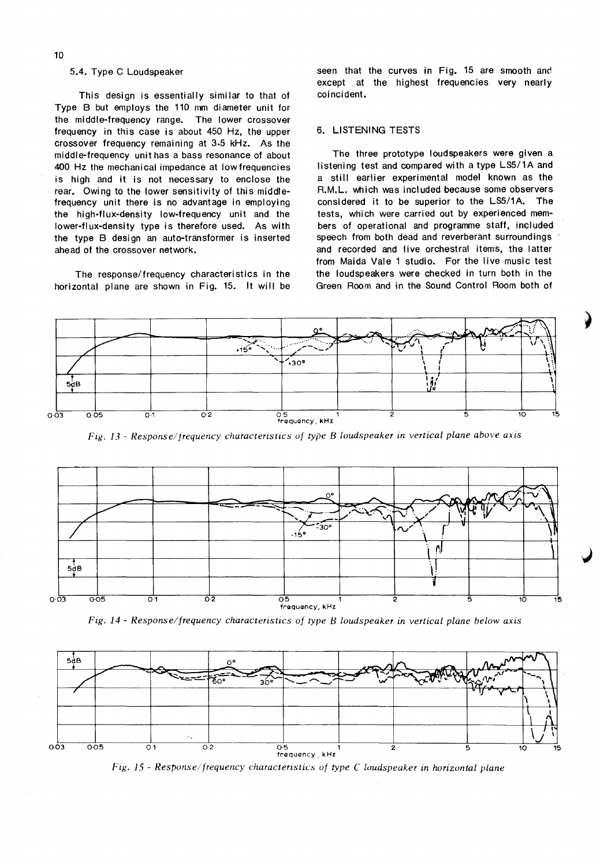10

#### 5.4. Type C Loudspeaker

This design is essentially similar to that of Type B but employs the 110 mm diameter unit for the middle-frequency range. The lower crossover frequency in this case is about 450 Hz, the upper crossover frequency remaining at 3.5 kHz. As the middle-frequency unit has a bass resonance of about 400 Hz the mechanical impedance at low frequencies is high and it is not necessary to enclose the rear. Owing to the lower sensitivity of this middlefrequency unit there is no advantage in employing the high-flux-density low-frequency unit and the lower-flux-density type is therefore used. As with the type B design an auto-transformer is inserted ahead of the crossover network.

The response/frequency characteristics in the horizontal plane are shown in Fig. 15. It will be

seen that the curves in Fig. 15 are smooth and except at the highest frequencies very nearly coincident.

## 6. LISTENING TESTS

The three prototype loudspeakers were given a listening test and compared with a type LSS/1A and a still earlier experimental model known as the R.M.L. which was included because some observers considered it to be superior to the LS5/1A. The tests, which were carried out by experienced members of operational and programme staff, included speech from both dead and reverberant surroundings and recorded and live orchestral items, the latter from Maida Vale 1 studio. For the live music test the loudspeakers were checked in turn both in the Green Room and in the Sound Control Room both of



*Fig.* 13 - *Response/frequency characteristics uf type 8 loudspeaker in vertical plane abuve axis* 



*Fig.* 14 - *Response/frequency characteristics of type H loudspeaker in vertical plane below axis* 



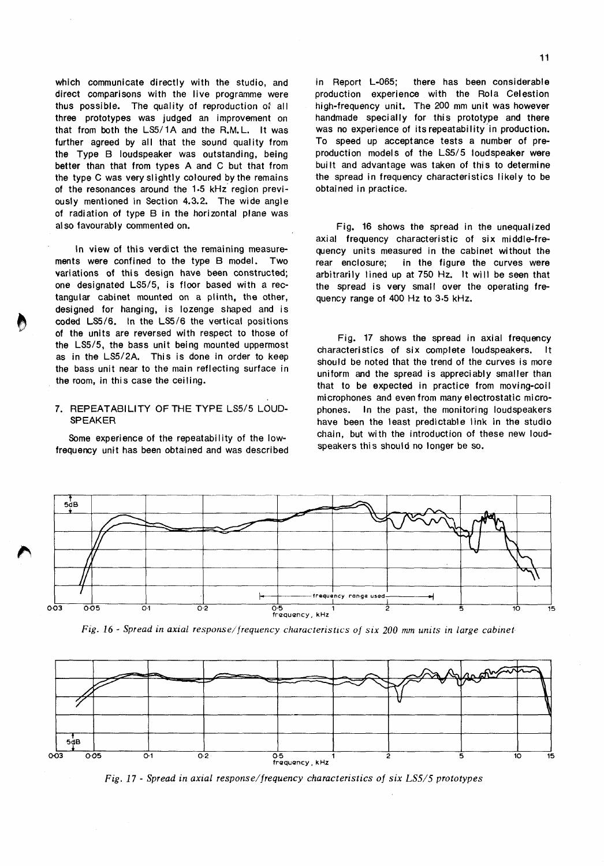which communicate directly with the studio, and direct comparisons with the live programme were thus possible. The quality of reproduction of all three prototypes was judged an improvement on that from both the  $LS5/1A$  and the R.M.L. It was further agreed by all that the sound quality from the Type B loudspeaker was outstanding, being better than that from types A and C but that from the type C was very slightly coloured by the remains of the resonances around the 1.5 kHz region previously mentioned in Section 4.3.2. The wide angle of radiation of type B in the horizontal plane was al so favourably commented on.

In view of this verdict the remaining measurements were confined to the type B model. Two variations of this design have been constructed; one designated LS5/5, is floor based with a rectangular cabinet mounted on a plinth, the other, designed for hanging, is lozenge shaped and is coded LS5/6. In the LS5/6 the vertical positions of the units are reversed with respect to those of the LS5/5, the bass unit being mounted uppermost as in the LS5/2A. This is done in order to keep the bass unit near to the main reflecting surface in the room, in this case the ceiling.

## 7. REPEATABILlTY OFTHE TYPE LS5/5 LOUD-SPEAKER

Some experience of the repeatability of the lowfrequency unit has been obtained and was described

in Report L-065; there has been considerable production experience with the Rola Celestion high-frequency unit. The 200 mm unit was however handmade specially for this prototype and there was no experience of its repeatability'in production. To speed up acceptance tests a number of preproduction models of the LS5/5 loudspeaker were built and advantage was taken of this to determine the spread in frequency characteristics likely to be obtained in practice.

Fig. 16 shows the spread in the unequalized axial frequency characteristic of six middle-frequency units measured in the cabinet without the rear enclosure; in the figure the curves were arbitrarily lined up at 750 Hz. It will be seen that the spread is very small over the operating frequency range of 400 Hz to 3.5 kHz.

Fig. 17 shows the spread in axial frequency characteristics of six complete loudspeakers. It should be noted that the trend of the curves is more uniform and the spread is appreciably smaller than that to be expected in practice from moving-coil microphones and even from many electrostatic microphones. In the past, the monitoring loudspeakers have been the least predictable link in the studio chain, but with the introduction of these new loudspeakers this should no longer be so.







*Fig.* 17 - *Spread in axial response/frequency characteristics of six LSS/S prototypes*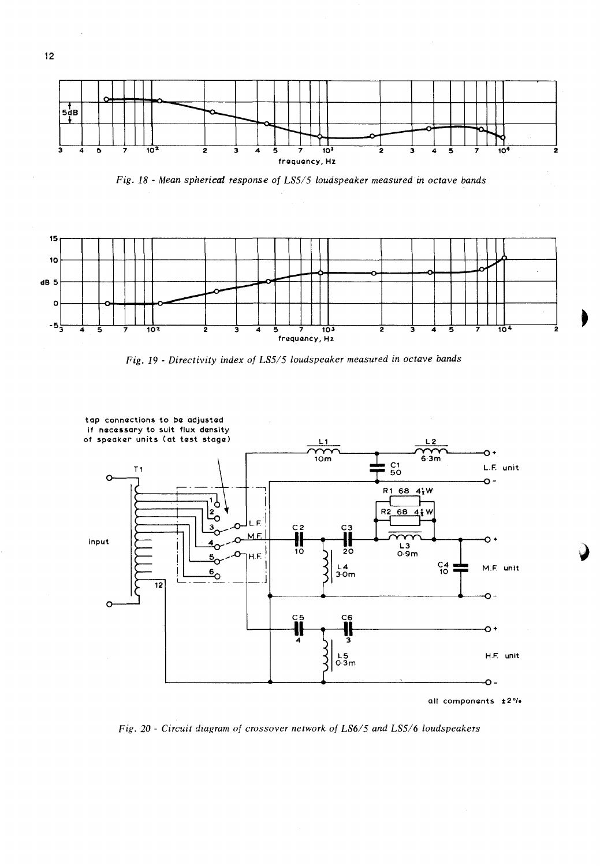

Fig. 18 - Mean spherical response of LS5/5 loudspeaker measured in octave bands



Fig. 19 - Directivity index of LS5/5 loudspeaker measured in octave bands



Fig. 20 - Circuit diagram of crossover network of LS6/5 and LS5/6 loudspeakers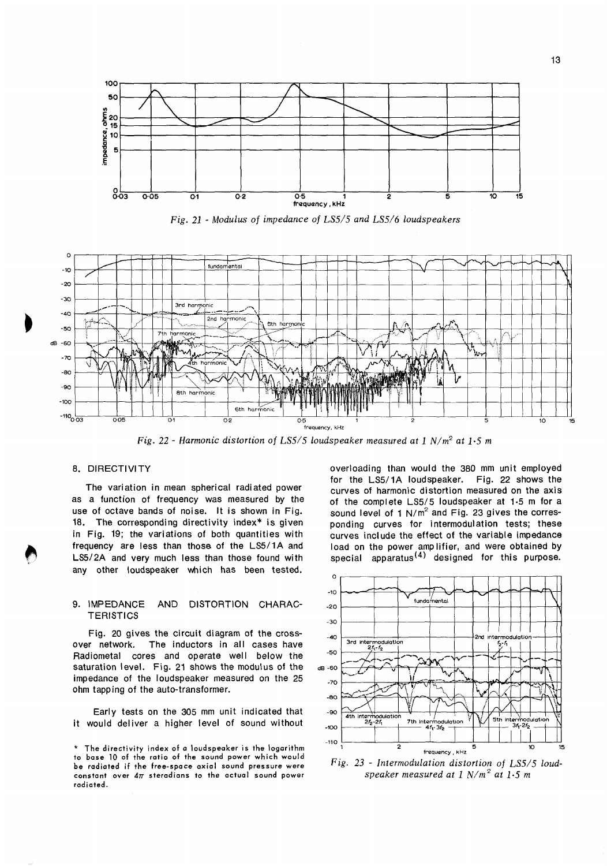

Fig. 21 - Modulus of impedance of LS5/5 and LS5/6 loudspeakers



Fig. 22 - Harmonic distortion of LS5/5 loudspeaker measured at 1 N/m<sup>2</sup> at 1.5 m

# 8. DIRECTIVITY

The variation in mean spherical radiated power as a function of frequency was measured by the use of octave bands of noise. It is shown in Fig. 18. The corresponding directivity index\* is given in Fig. 19; the variations of both quantities with frequency are less than those of the LS5/1A and LS5/2A and very much less than those found with any other loudspeaker which has been tested.

#### 9. IMPEDANCE AND DISTORTION CHARAC-**TERISTICS**

Fig. 20 gives the circuit diagram of the crossover network. The inductors in all cases have Radiometal cores and operate well below the saturation level. Fig. 21 shows the modulus of the impedance of the loudspeaker measured on the 25 ohm tapping of the auto-transformer.

Early tests on the 305 mm unit indicated that it would deliver a higher level of sound without



overloading than would the 380 mm unit employed for the LS5/1A loudspeaker. Fig. 22 shows the curves of harmonic distortion measured on the axis of the complete LS5/5 loudspeaker at 1.5 m for a sound level of 1 N/m<sup>2</sup> and Fig. 23 gives the corresponding curves for intermodulation tests; these curves include the effect of the variable impedance load on the power amplifier, and were obtained by special apparatus $(4)$  designed for this purpose.



Fig. 23 - Intermodulation distortion of LS5/5 loudspeaker measured at 1  $N/m^2$  at 1.5 m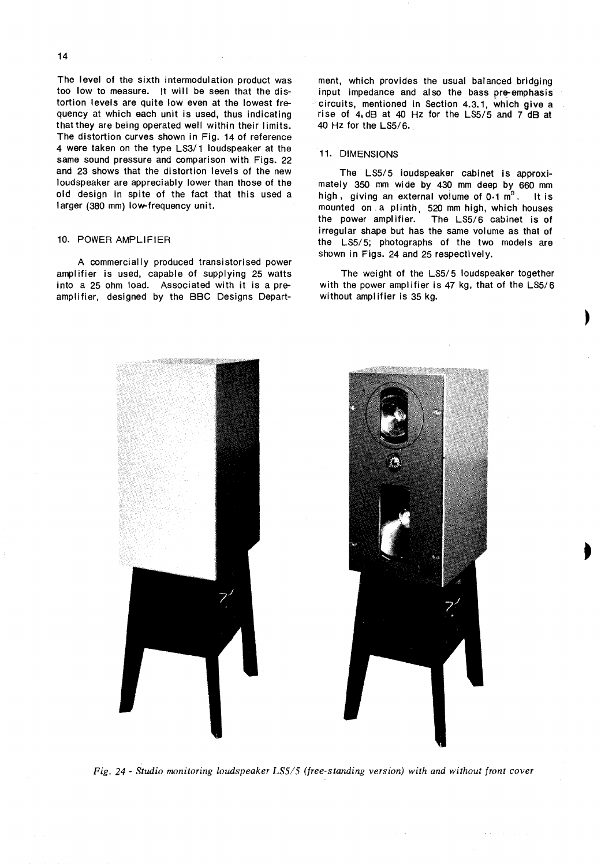The level of the sixth intermodulation product was too low to measure. It will be seen that the distortion levels are quite low even at the lowest frequency at which each unit is used, thus indicating that they are being operated well within their limits. The distortion curves shown in Fig. 14 of reference 4 were taken on the type LS3/1 loudspeaker at the same sound pressure and comparison with Figs. 22 and 23 shows that the distortion levels of the new loudspeaker are appreciably lower than those of the old design in spite of the fact that this used a larger (380 mm) low-frequency unit.

### 10. POWER AMPLIFIER

A commercially produced transistorised power amplifier is used, capable of supplying 25 watts into a 25 ohm load. Associated with it is a preamplifier, designed by the BBC Designs Department, which provides the usual balanced bridging input impedance and also the bass pre-emphasis circuits, mentioned in Section 4.3.1, which give a rise of  $4. dB$  at  $40 Hz$  for the LS5/5 and  $7 dB$  at 40 Hz for the LS5/6.

## 11. DIMENSIONS

The LS5/5 loudspeaker cabinet is approximately 350 mm wide by 430 mm deep by 660 mm high, giving an external volume of  $0.1 \text{ m}^3$ . It is mounted on a plinth, 520 mm high, which houses<br>the power amplifier. The LS5/6 cabinet is of The LS5/6 cabinet is of irregular shape but has the same volume as that of the LS5/5; photographs of the two models are shown in Figs. 24 and 25 respectively.

The weight of the LS5/5 loudspeaker together with the power amplifier is 47 kg, that of the  $LS5/6$ without amplifier is 35 kg.



*Fig.* 24 - *Studio monitoring loudspeaker LS5/5 (free-standing version) with and without front cover*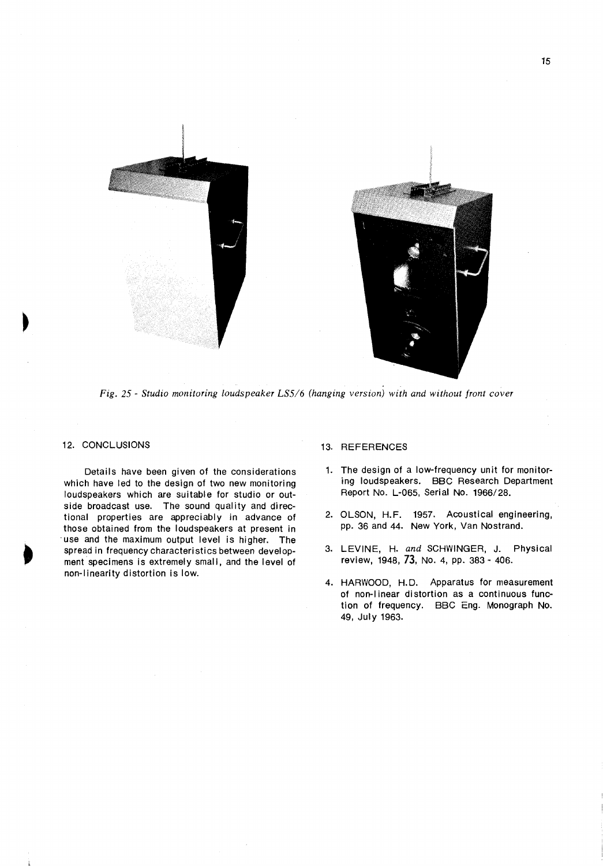

*Fig.* 25 - *Studio monitoring loudspeaker LS5/6 (hanging version) with and without front cover* 

#### 12. CONCLUSIONS

Details have been given of the considerations which have led to the design of two new monitoring loudspeakers which are suitable for studio or outside broadcast use. The sound quality and directional properties are appreciably in advance of those obtained from the loudspeakers at present in use and the maximum output level is higher. The spread in frequency characteristics between development specimens is extremely small, and the level of non-linearity distortion is low.

#### 13. REFERENCES

- 1. The design of a low-frequency unit for monitoring loudspeakers. BBC Research Department Report No. L-065, Serial No. 1966/28.
- 2. OLSON, H.F. 1957. Acoustical engineering, pp. 36 and 44. New York, Van Nostrand.
- 3. LEVINE, H. *and* SCHWINGER, J. Physical review, 1948, 73, No. 4, pp. 383 - 406.
- 4. HARWOOD, H.D. Apparatus for measurement of non-linear distortion as a continuous function of frequency. BBC Eng. Monograph No. 49, July 1963.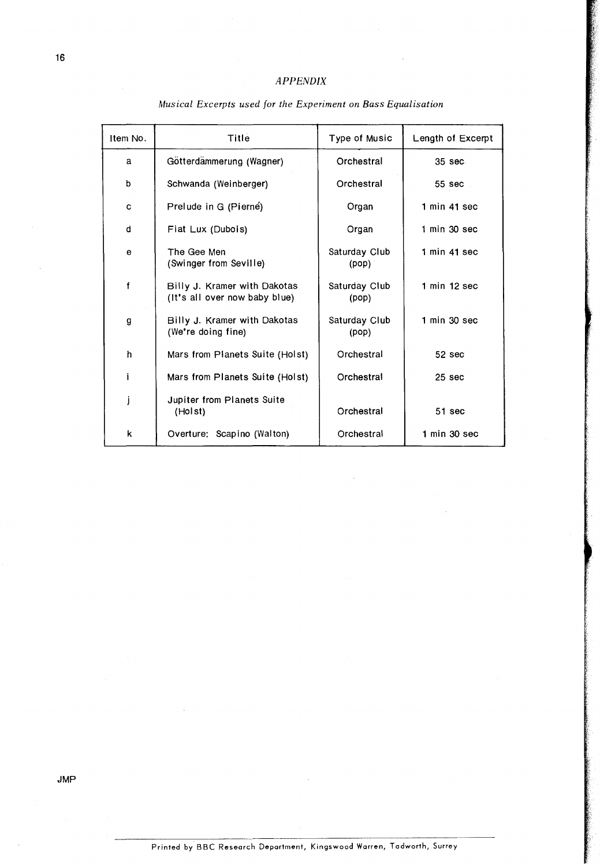# APPENDIX

| Item No.    | Title                                                         | Type of Music          | Length of Excerpt |
|-------------|---------------------------------------------------------------|------------------------|-------------------|
| a           | Götterdämmerung (Wagner)                                      | Orchestral             | 35 sec            |
| b           | Schwanda (Weinberger)                                         | Orchestral             | 55 sec            |
| C           | Prelude in G (Pierné)                                         | Organ                  | 1 min 41 sec      |
| d           | Fiat Lux (Dubois)                                             | Organ                  | 1 min 30 sec      |
| e           | The Gee Men<br>(Swinger from Seville)                         | Saturday Club<br>(pop) | $1$ min 41 sec    |
| $\mathbf f$ | Billy J. Kramer with Dakotas<br>(it's all over now baby blue) | Saturday Club<br>(pop) | 1 min 12 sec      |
| g           | Billy J. Kramer with Dakotas<br>(We're doing fine)            | Saturday Club<br>(pop) | 1 min 30 sec      |
| h           | Mars from Planets Suite (Holst)                               | Orchestral             | 52 <sub>sec</sub> |
| i           | Mars from Planets Suite (Holst)                               | Orchestral             | 25 <sub>sec</sub> |
|             | Jupiter from Planets Suite<br>(Holst)                         | Orchestral             | 51 sec            |
| k           | Overture: Scapino (Walton)                                    | Orchestral             | 1 min 30 sec      |

# *Musical Excerpts used for the Experiment on Bass Equalisation*

Printed by BBC Research Department, Kingswood Warren, Tadworth, Surrey

.JMP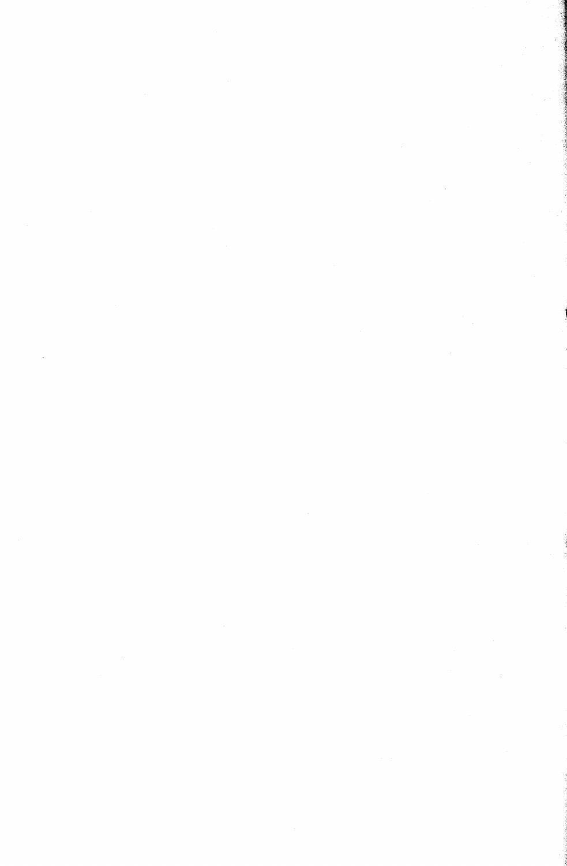$\frac{1}{\sqrt{2}}\sum_{i=1}^{n-1}\frac{1}{\sqrt{2}}\left(\frac{1}{\sqrt{2}}\right)^2\left(\frac{1}{\sqrt{2}}\right)^2\left(\frac{1}{\sqrt{2}}\right)^2.$